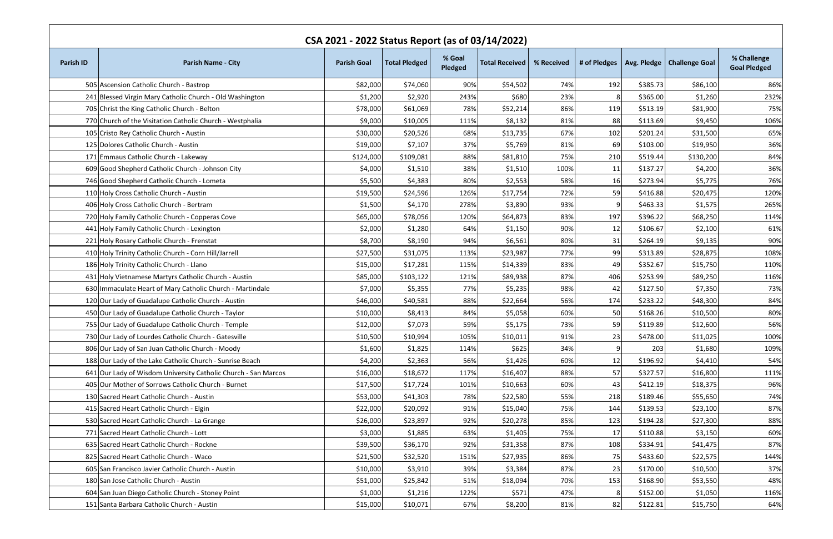| CSA 2021 - 2022 Status Report (as of 03/14/2022) |                                                                |                    |                      |                   |                       |            |              |          |                              |                                    |
|--------------------------------------------------|----------------------------------------------------------------|--------------------|----------------------|-------------------|-----------------------|------------|--------------|----------|------------------------------|------------------------------------|
| <b>Parish ID</b>                                 | <b>Parish Name - City</b>                                      | <b>Parish Goal</b> | <b>Total Pledged</b> | % Goal<br>Pledged | <b>Total Received</b> | % Received | # of Pledges |          | Avg. Pledge   Challenge Goal | % Challenge<br><b>Goal Pledged</b> |
|                                                  | 505 Ascension Catholic Church - Bastrop                        | \$82,000           | \$74,060             | 90%               | \$54,502              | 74%        | 192          | \$385.73 | \$86,100                     | 86%                                |
|                                                  | 241 Blessed Virgin Mary Catholic Church - Old Washington       | \$1,200            | \$2,920              | 243%              | \$680                 | 23%        | 8            | \$365.00 | \$1,260                      | 232%                               |
|                                                  | 705 Christ the King Catholic Church - Belton                   | \$78,000           | \$61,069             | 78%               | \$52,214              | 86%        | 119          | \$513.19 | \$81,900                     | 75%                                |
|                                                  | 770 Church of the Visitation Catholic Church - Westphalia      | \$9,000            | \$10,005             | 111%              | \$8,132               | 81%        | 88           | \$113.69 | \$9,450                      | 106%                               |
|                                                  | 105 Cristo Rey Catholic Church - Austin                        | \$30,000           | \$20,526             | 68%               | \$13,735              | 67%        | 102          | \$201.24 | \$31,500                     | 65%                                |
|                                                  | 125 Dolores Catholic Church - Austin                           | \$19,000           | \$7,107              | 37%               | \$5,769               | 81%        | 69           | \$103.00 | \$19,950                     | 36%                                |
|                                                  | 171 Emmaus Catholic Church - Lakeway                           | \$124,000          | \$109,081            | 88%               | \$81,810              | 75%        | 210          | \$519.44 | \$130,200                    | 84%                                |
|                                                  | 609 Good Shepherd Catholic Church - Johnson City               | \$4,000            | \$1,510              | 38%               | \$1,510               | 100%       | 11           | \$137.27 | \$4,200                      | 36%                                |
|                                                  | 746 Good Shepherd Catholic Church - Lometa                     | \$5,500            | \$4,383              | 80%               | \$2,553               | 58%        | 16           | \$273.94 | \$5,775                      | 76%                                |
|                                                  | 110 Holy Cross Catholic Church - Austin                        | \$19,500           | \$24,596             | 126%              | \$17,754              | 72%        | 59           | \$416.88 | \$20,475                     | 120%                               |
|                                                  | 406 Holy Cross Catholic Church - Bertram                       | \$1,500            | \$4,170              | 278%              | \$3,890               | 93%        | q            | \$463.33 | \$1,575                      | 265%                               |
|                                                  | 720 Holy Family Catholic Church - Copperas Cove                | \$65,000           | \$78,056             | 120%              | \$64,873              | 83%        | 197          | \$396.22 | \$68,250                     | 114%                               |
|                                                  | 441 Holy Family Catholic Church - Lexington                    | \$2,000            | \$1,280              | 64%               | \$1,150               | 90%        | 12           | \$106.67 | \$2,100                      | 61%                                |
|                                                  | 221 Holy Rosary Catholic Church - Frenstat                     | \$8,700            | \$8,190              | 94%               | \$6,561               | 80%        | 31           | \$264.19 | \$9,135                      | 90%                                |
|                                                  | 410 Holy Trinity Catholic Church - Corn Hill/Jarrell           | \$27,500           | \$31,075             | 113%              | \$23,987              | 77%        | 99           | \$313.89 | \$28,875                     | 108%                               |
|                                                  | 186 Holy Trinity Catholic Church - Llano                       | \$15,000           | \$17,281             | 115%              | \$14,339              | 83%        | 49           | \$352.67 | \$15,750                     | 110%                               |
|                                                  | 431 Holy Vietnamese Martyrs Catholic Church - Austin           | \$85,000           | \$103,122            | 121%              | \$89,938              | 87%        | 406          | \$253.99 | \$89,250                     | 116%                               |
|                                                  | 630 Immaculate Heart of Mary Catholic Church - Martindale      | \$7,000            | \$5,355              | 77%               | \$5,235               | 98%        | 42           | \$127.50 | \$7,350                      | 73%                                |
|                                                  | 120 Our Lady of Guadalupe Catholic Church - Austin             | \$46,000           | \$40,581             | 88%               | \$22,664              | 56%        | 174          | \$233.22 | \$48,300                     | 84%                                |
|                                                  | 450 Our Lady of Guadalupe Catholic Church - Taylor             | \$10,000           | \$8,413              | 84%               | \$5,058               | 60%        | 50           | \$168.26 | \$10,500                     | 80%                                |
|                                                  | 755 Our Lady of Guadalupe Catholic Church - Temple             | \$12,000           | \$7,073              | 59%               | \$5,175               | 73%        | 59           | \$119.89 | \$12,600                     | 56%                                |
|                                                  | 730 Our Lady of Lourdes Catholic Church - Gatesville           | \$10,500           | \$10,994             | 105%              | \$10,011              | 91%        | 23           | \$478.00 | \$11,025                     | 100%                               |
|                                                  | 806 Our Lady of San Juan Catholic Church - Moody               | \$1,600            | \$1,825              | 114%              | \$625                 | 34%        |              | 203      | \$1,680                      | 109%                               |
|                                                  | 188 Our Lady of the Lake Catholic Church - Sunrise Beach       | \$4,200            | \$2,363              | 56%               | \$1,426               | 60%        | 12           | \$196.92 | \$4,410                      | 54%                                |
|                                                  | 641 Our Lady of Wisdom University Catholic Church - San Marcos | \$16,000           | \$18,672             | 117%              | \$16,407              | 88%        | 57           | \$327.57 | \$16,800                     | 111%                               |
|                                                  | 405 Our Mother of Sorrows Catholic Church - Burnet             | \$17,500           | \$17,724             | 101%              | \$10,663              | 60%        | 43           | \$412.19 | \$18,375                     | 96%                                |
|                                                  | 130 Sacred Heart Catholic Church - Austin                      | \$53,000           | \$41,303             | 78%               | \$22,580              | 55%        | 218          | \$189.46 | \$55,650                     | 74%                                |
|                                                  | 415 Sacred Heart Catholic Church - Elgin                       | \$22,000           | \$20,092             | 91%               | \$15,040              | 75%        | 144          | \$139.53 | \$23,100                     | 87%                                |
|                                                  | 530 Sacred Heart Catholic Church - La Grange                   | \$26,000           | \$23,897             | 92%               | \$20,278              | 85%        | 123          | \$194.28 | \$27,300                     | 88%                                |
|                                                  | 771 Sacred Heart Catholic Church - Lott                        | \$3,000            | \$1,885              | 63%               | \$1,405               | 75%        | 17           | \$110.88 | \$3,150                      | 60%                                |
|                                                  | 635 Sacred Heart Catholic Church - Rockne                      | \$39,500           | \$36,170             | 92%               | \$31,358              | 87%        | 108          | \$334.91 | \$41,475                     | 87%                                |
|                                                  | 825 Sacred Heart Catholic Church - Waco                        | \$21,500           | \$32,520             | 151%              | \$27,935              | 86%        | 75           | \$433.60 | \$22,575                     | 144%                               |
|                                                  | 605 San Francisco Javier Catholic Church - Austin              | \$10,000           | \$3,910              | 39%               | \$3,384               | 87%        | 23           | \$170.00 | \$10,500                     | 37%                                |
|                                                  | 180 San Jose Catholic Church - Austin                          | \$51,000           | \$25,842             | 51%               | \$18,094              | 70%        | 153          | \$168.90 | \$53,550                     | 48%                                |
|                                                  | 604 San Juan Diego Catholic Church - Stoney Point              | \$1,000            | \$1,216              | 122%              | \$571                 | 47%        | 8            | \$152.00 | \$1,050                      | 116%                               |
|                                                  | 151 Santa Barbara Catholic Church - Austin                     | \$15,000           | \$10,071             | 67%               | \$8,200               | 81%        | 82           | \$122.81 | \$15,750                     | 64%                                |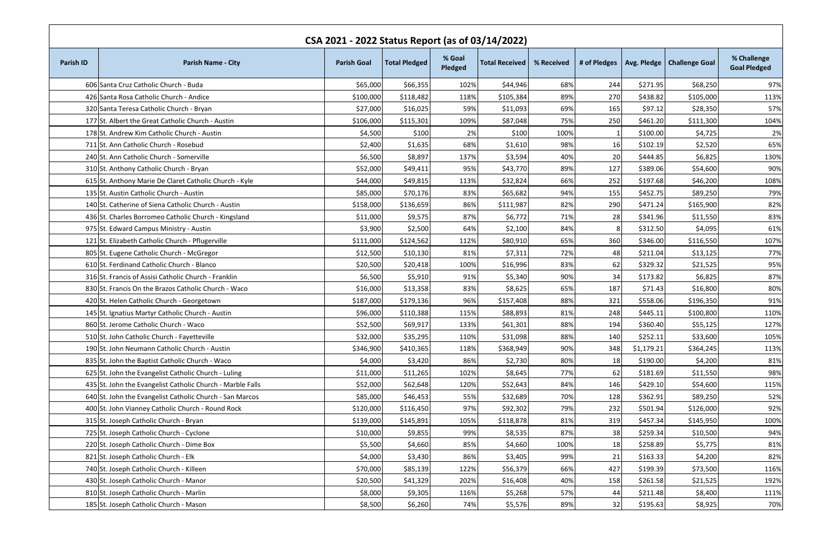| CSA 2021 - 2022 Status Report (as of 03/14/2022) |                                                            |                    |                      |                   |                       |            |              |            |                              |                                    |
|--------------------------------------------------|------------------------------------------------------------|--------------------|----------------------|-------------------|-----------------------|------------|--------------|------------|------------------------------|------------------------------------|
| <b>Parish ID</b>                                 | <b>Parish Name - City</b>                                  | <b>Parish Goal</b> | <b>Total Pledged</b> | % Goal<br>Pledged | <b>Total Received</b> | % Received | # of Pledges |            | Avg. Pledge   Challenge Goal | % Challenge<br><b>Goal Pledged</b> |
|                                                  | 606 Santa Cruz Catholic Church - Buda                      | \$65,000           | \$66,355             | 102%              | \$44,946              | 68%        | 244          | \$271.95   | \$68,250                     | 97%                                |
|                                                  | 426 Santa Rosa Catholic Church - Andice                    | \$100,000          | \$118,482            | 118%              | \$105,384             | 89%        | 270          | \$438.82   | \$105,000                    | 113%                               |
|                                                  | 320 Santa Teresa Catholic Church - Bryan                   | \$27,000           | \$16,025             | 59%               | \$11,093              | 69%        | 165          | \$97.12    | \$28,350                     | 57%                                |
|                                                  | 177 St. Albert the Great Catholic Church - Austin          | \$106,000          | \$115,301            | 109%              | \$87,048              | 75%        | 250          | \$461.20   | \$111,300                    | 104%                               |
|                                                  | 178 St. Andrew Kim Catholic Church - Austin                | \$4,500            | \$100                | 2%                | \$100                 | 100%       |              | \$100.00   | \$4,725                      | 2%                                 |
|                                                  | 711 St. Ann Catholic Church - Rosebud                      | \$2,400            | \$1,635              | 68%               | \$1,610               | 98%        | <b>16</b>    | \$102.19   | \$2,520                      | 65%                                |
|                                                  | 240 St. Ann Catholic Church - Somerville                   | \$6,500            | \$8,897              | 137%              | \$3,594               | 40%        | 20           | \$444.85   | \$6,825                      | 130%                               |
|                                                  | 310 St. Anthony Catholic Church - Bryan                    | \$52,000           | \$49,411             | 95%               | \$43,770              | 89%        | 127          | \$389.06   | \$54,600                     | 90%                                |
|                                                  | 615 St. Anthony Marie De Claret Catholic Church - Kyle     | \$44,000           | \$49,815             | 113%              | \$32,824              | 66%        | 252          | \$197.68   | \$46,200                     | 108%                               |
|                                                  | 135 St. Austin Catholic Church - Austin                    | \$85,000           | \$70,176             | 83%               | \$65,682              | 94%        | 155          | \$452.75   | \$89,250                     | 79%                                |
|                                                  | 140 St. Catherine of Siena Catholic Church - Austin        | \$158,000          | \$136,659            | 86%               | \$111,987             | 82%        | 290          | \$471.24   | \$165,900                    | 82%                                |
|                                                  | 436 St. Charles Borromeo Catholic Church - Kingsland       | \$11,000           | \$9,575              | 87%               | \$6,772               | 71%        | <b>28</b>    | \$341.96   | \$11,550                     | 83%                                |
|                                                  | 975 St. Edward Campus Ministry - Austin                    | \$3,900            | \$2,500              | 64%               | \$2,100               | 84%        | 8            | \$312.50   | \$4,095                      | 61%                                |
|                                                  | 121 St. Elizabeth Catholic Church - Pflugerville           | \$111,000          | \$124,562            | 112%              | \$80,910              | 65%        | 360          | \$346.00   | \$116,550                    | 107%                               |
|                                                  | 805 St. Eugene Catholic Church - McGregor                  | \$12,500           | \$10,130             | 81%               | \$7,311               | 72%        | 48           | \$211.04   | \$13,125                     | 77%                                |
|                                                  | 610 St. Ferdinand Catholic Church - Blanco                 | \$20,500           | \$20,418             | 100%              | \$16,996              | 83%        | 62           | \$329.32   | \$21,525                     | 95%                                |
|                                                  | 316 St. Francis of Assisi Catholic Church - Franklin       | \$6,500            | \$5,910              | 91%               | \$5,340               | 90%        | 34           | \$173.82   | \$6,825                      | 87%                                |
|                                                  | 830 St. Francis On the Brazos Catholic Church - Waco       | \$16,000           | \$13,358             | 83%               | \$8,625               | 65%        | 187          | \$71.43    | \$16,800                     | 80%                                |
|                                                  | 420 St. Helen Catholic Church - Georgetown                 | \$187,000          | \$179,136            | 96%               | \$157,408             | 88%        | 321          | \$558.06   | \$196,350                    | 91%                                |
|                                                  | 145 St. Ignatius Martyr Catholic Church - Austin           | \$96,000           | \$110,388            | 115%              | \$88,893              | 81%        | 248          | \$445.11   | \$100,800                    | 110%                               |
|                                                  | 860 St. Jerome Catholic Church - Waco                      | \$52,500           | \$69,917             | 133%              | \$61,301              | 88%        | 194          | \$360.40   | \$55,125                     | 127%                               |
|                                                  | 510 St. John Catholic Church - Fayetteville                | \$32,000           | \$35,295             | 110%              | \$31,098              | 88%        | 140          | \$252.11]  | \$33,600                     | 105%                               |
|                                                  | 190 St. John Neumann Catholic Church - Austin              | \$346,900          | \$410,365            | 118%              | \$368,949             | 90%        | 348          | \$1,179.21 | \$364,245                    | 113%                               |
|                                                  | 835 St. John the Baptist Catholic Church - Waco            | \$4,000            | \$3,420              | 86%               | \$2,730               | 80%        | 18           | \$190.00   | \$4,200                      | 81%                                |
|                                                  | 625 St. John the Evangelist Catholic Church - Luling       | \$11,000           | \$11,265             | 102%              | \$8,645               | 77%        | 62           | \$181.69   | \$11,550                     | 98%                                |
|                                                  | 435 St. John the Evangelist Catholic Church - Marble Falls | \$52,000           | \$62,648             | 120%              | \$52,643              | 84%        | 146          | \$429.10   | \$54,600                     | 115%                               |
|                                                  | 640 St. John the Evangelist Catholic Church - San Marcos   | \$85,000           | \$46,453             | 55%               | \$32,689              | 70%        | 128          | \$362.91   | \$89,250                     | 52%                                |
|                                                  | 400 St. John Vianney Catholic Church - Round Rock          | \$120,000          | \$116,450            | 97%               | \$92,302              | 79%        | 232          | \$501.94]  | \$126,000                    | 92%                                |
|                                                  | 315 St. Joseph Catholic Church - Bryan                     | \$139,000          | \$145,891            | 105%              | \$118,878             | 81%        | 319          | \$457.34   | \$145,950                    | 100%                               |
|                                                  | 725 St. Joseph Catholic Church - Cyclone                   | \$10,000           | \$9,855              | 99%               | \$8,535               | 87%        | 38           | \$259.34   | \$10,500                     | 94%                                |
|                                                  | 220 St. Joseph Catholic Church - Dime Box                  | \$5,500            | \$4,660              | 85%               | \$4,660               | 100%       | 18           | \$258.89   | \$5,775                      | 81%                                |
|                                                  | 821 St. Joseph Catholic Church - Elk                       | \$4,000            | \$3,430              | 86%               | \$3,405               | 99%        | 21           | \$163.33   | \$4,200                      | 82%                                |
|                                                  | 740 St. Joseph Catholic Church - Killeen                   | \$70,000           | \$85,139             | 122%              | \$56,379              | 66%        | 427          | \$199.39   | \$73,500                     | 116%                               |
|                                                  | 430 St. Joseph Catholic Church - Manor                     | \$20,500           | \$41,329             | 202%              | \$16,408              | 40%        | 158          | \$261.58   | \$21,525                     | 192%                               |
|                                                  | 810 St. Joseph Catholic Church - Marlin                    | \$8,000            | \$9,305              | 116%              | \$5,268               | 57%        | 44           | \$211.48   | \$8,400                      | 111%                               |
|                                                  | 185 St. Joseph Catholic Church - Mason                     | \$8,500            | \$6,260              | 74%               | \$5,576               | 89%        | 32           | \$195.63   | \$8,925                      | 70%                                |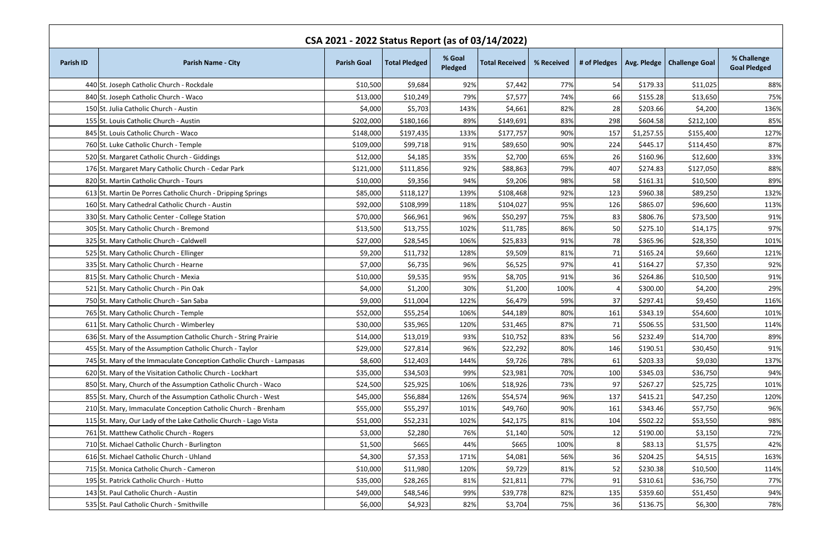| CSA 2021 - 2022 Status Report (as of 03/14/2022) |                                                                      |                    |                      |                   |                       |            |              |            |                              |                                    |
|--------------------------------------------------|----------------------------------------------------------------------|--------------------|----------------------|-------------------|-----------------------|------------|--------------|------------|------------------------------|------------------------------------|
| <b>Parish ID</b>                                 | <b>Parish Name - City</b>                                            | <b>Parish Goal</b> | <b>Total Pledged</b> | % Goal<br>Pledged | <b>Total Received</b> | % Received | # of Pledges |            | Avg. Pledge   Challenge Goal | % Challenge<br><b>Goal Pledged</b> |
|                                                  | 440 St. Joseph Catholic Church - Rockdale                            | \$10,500           | \$9,684              | 92%               | \$7,442               | 77%        | 54           | \$179.33   | \$11,025                     | 88%                                |
|                                                  | 840 St. Joseph Catholic Church - Waco                                | \$13,000           | \$10,249             | 79%               | \$7,577               | 74%        | 66           | \$155.28   | \$13,650                     | 75%                                |
|                                                  | 150 St. Julia Catholic Church - Austin                               | \$4,000            | \$5,703              | 143%              | \$4,661               | 82%        | 28           | \$203.66   | \$4,200                      | 136%                               |
|                                                  | 155 St. Louis Catholic Church - Austin                               | \$202,000          | \$180,166            | 89%               | \$149,691             | 83%        | 298          | \$604.58   | \$212,100                    | 85%                                |
|                                                  | 845 St. Louis Catholic Church - Waco                                 | \$148,000          | \$197,435            | 133%              | \$177,757             | 90%        | 157          | \$1,257.55 | \$155,400                    | 127%                               |
|                                                  | 760 St. Luke Catholic Church - Temple                                | \$109,000          | \$99,718             | 91%               | \$89,650              | 90%        | 224          | \$445.17   | \$114,450                    | 87%                                |
|                                                  | 520 St. Margaret Catholic Church - Giddings                          | \$12,000           | \$4,185              | 35%               | \$2,700               | 65%        | 26           | \$160.96   | \$12,600                     | 33%                                |
|                                                  | 176 St. Margaret Mary Catholic Church - Cedar Park                   | \$121,000          | \$111,856            | 92%               | \$88,863              | 79%        | 407          | \$274.83   | \$127,050                    | 88%                                |
|                                                  | 820 St. Martin Catholic Church - Tours                               | \$10,000           | \$9,356              | 94%               | \$9,206               | 98%        | 58           | \$161.31   | \$10,500                     | 89%                                |
|                                                  | 613 St. Martin De Porres Catholic Church - Dripping Springs          | \$85,000           | \$118,127            | 139%              | \$108,468             | 92%        | 123          | \$960.38   | \$89,250                     | 132%                               |
|                                                  | 160 St. Mary Cathedral Catholic Church - Austin                      | \$92,000           | \$108,999            | 118%              | \$104,027             | 95%        | 126          | \$865.07   | \$96,600                     | 113%                               |
|                                                  | 330 St. Mary Catholic Center - College Station                       | \$70,000           | \$66,961             | 96%               | \$50,297              | 75%        | 83           | \$806.76   | \$73,500                     | 91%                                |
|                                                  | 305 St. Mary Catholic Church - Bremond                               | \$13,500           | \$13,755             | 102%              | \$11,785              | 86%        | 50           | \$275.10   | \$14,175                     | 97%                                |
|                                                  | 325 St. Mary Catholic Church - Caldwell                              | \$27,000           | \$28,545             | 106%              | \$25,833              | 91%        | 78           | \$365.96   | \$28,350                     | 101%                               |
|                                                  | 525 St. Mary Catholic Church - Ellinger                              | \$9,200            | \$11,732             | 128%              | \$9,509               | 81%        | 71           | \$165.24   | \$9,660                      | 121%                               |
|                                                  | 335 St. Mary Catholic Church - Hearne                                | \$7,000            | \$6,735              | 96%               | \$6,525               | 97%        | 41           | \$164.27   | \$7,350                      | 92%                                |
|                                                  | 815 St. Mary Catholic Church - Mexia                                 | \$10,000           | \$9,535              | 95%               | \$8,705               | 91%        | 36           | \$264.86   | \$10,500                     | 91%                                |
|                                                  | 521 St. Mary Catholic Church - Pin Oak                               | \$4,000            | \$1,200              | 30%               | \$1,200               | 100%       |              | \$300.00   | \$4,200                      | 29%                                |
|                                                  | 750 St. Mary Catholic Church - San Saba                              | \$9,000            | \$11,004             | 122%              | \$6,479               | 59%        | 37           | \$297.41   | \$9,450                      | 116%                               |
|                                                  | 765 St. Mary Catholic Church - Temple                                | \$52,000           | \$55,254             | 106%              | \$44,189              | 80%        | 161          | \$343.19   | \$54,600                     | 101%                               |
|                                                  | 611 St. Mary Catholic Church - Wimberley                             | \$30,000           | \$35,965             | 120%              | \$31,465              | 87%        | 71           | \$506.55   | \$31,500                     | 114%                               |
|                                                  | 636 St. Mary of the Assumption Catholic Church - String Prairie      | \$14,000           | \$13,019             | 93%               | \$10,752              | 83%        | 56           | \$232.49   | \$14,700                     | 89%                                |
|                                                  | 455 St. Mary of the Assumption Catholic Church - Taylor              | \$29,000           | \$27,814             | 96%               | \$22,292              | 80%        | 146          | \$190.51   | \$30,450                     | 91%                                |
|                                                  | 745 St. Mary of the Immaculate Conception Catholic Church - Lampasas | \$8,600            | \$12,403             | 144%              | \$9,726               | 78%        | 61           | \$203.33   | \$9,030                      | 137%                               |
|                                                  | 620 St. Mary of the Visitation Catholic Church - Lockhart            | \$35,000           | \$34,503             | 99%               | \$23,981              | 70%        | 100          | \$345.03   | \$36,750                     | 94%                                |
|                                                  | 850 St. Mary, Church of the Assumption Catholic Church - Waco        | \$24,500           | \$25,925             | 106%              | \$18,926              | 73%        | 97           | \$267.27   | \$25,725                     | 101%                               |
|                                                  | 855 St. Mary, Church of the Assumption Catholic Church - West        | \$45,000           | \$56,884             | 126%              | \$54,574              | 96%        | 137          | \$415.21   | \$47,250                     | 120%                               |
|                                                  | 210 St. Mary, Immaculate Conception Catholic Church - Brenham        | \$55,000           | \$55,297             | 101%              | \$49,760              | 90%        | 161          | \$343.46   | \$57,750                     | 96%                                |
|                                                  | 115 St. Mary, Our Lady of the Lake Catholic Church - Lago Vista      | \$51,000           | \$52,231             | 102%              | \$42,175              | 81%        | 104          | \$502.22   | \$53,550                     | 98%                                |
|                                                  | 761 St. Matthew Catholic Church - Rogers                             | \$3,000            | \$2,280              | 76%               | \$1,140               | 50%        | 12           | \$190.00   | \$3,150                      | 72%                                |
|                                                  | 710 St. Michael Catholic Church - Burlington                         | \$1,500            | \$665                | 44%               | \$665                 | 100%       | 8            | \$83.13    | \$1,575                      | 42%                                |
|                                                  | 616 St. Michael Catholic Church - Uhland                             | \$4,300            | \$7,353              | 171%              | \$4,081               | 56%        | 36           | \$204.25   | \$4,515                      | 163%                               |
|                                                  | 715 St. Monica Catholic Church - Cameron                             | \$10,000           | \$11,980             | 120%              | \$9,729               | 81%        | 52           | \$230.38   | \$10,500                     | 114%                               |
|                                                  | 195 St. Patrick Catholic Church - Hutto                              | \$35,000           | \$28,265             | 81%               | \$21,811              | 77%        | 91           | \$310.61   | \$36,750                     | 77%                                |
|                                                  | 143 St. Paul Catholic Church - Austin                                | \$49,000           | \$48,546             | 99%               | \$39,778              | 82%        | 135          | \$359.60   | \$51,450                     | 94%                                |
|                                                  | 535 St. Paul Catholic Church - Smithville                            | \$6,000            | \$4,923              | 82%               | \$3,704               | 75%        | 36           | \$136.75   | \$6,300                      | 78%                                |